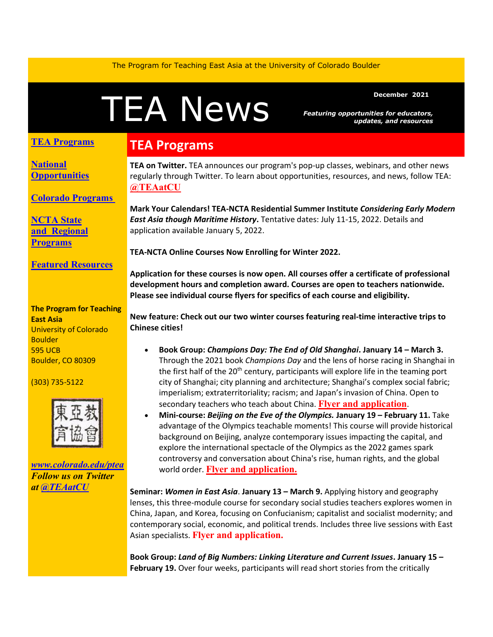The Program for Teaching East Asia at the University of Colorado Boulder

# December 2021<br> **TEANEWS** Featuring opportunities for educators<br>
updates, and resource

*Featuring opportunities for educators, updates, and resources*

#### **TEA Programs**

**[National](#page-1-0)  [Opportunities](#page-1-0)**

**[Colorado Programs](#page-1-1)**

**[NCTA State](#page-2-0)  and [Regional](#page-2-0)  [Programs](#page-2-0)**

**[Featured Resources](#page-2-1)**

**The Program for Teaching East Asia** University of Colorado **Boulder** 595 UCB Boulder, CO 80309

(303) 735-5122



*[www.colorado.edu/ptea](http://www.colorado.edu/cas/tea) Follow us on Twitter at [@TEAatCU](https://twitter.com/TEAatCU)*

## **TEA Programs**

**TEA on Twitter.** TEA announces our program's pop-up classes, webinars, and other news regularly through Twitter. To learn about opportunities, resources, and news, follow TEA: **[@TEAatCU](https://twitter.com/TEAatCU)**

**Mark Your Calendars! TEA-NCTA Residential Summer Institute** *Considering Early Modern East Asia though Maritime History***.** Tentative dates: July 11-15, 2022. Details and application available January 5, 2022.

**TEA-NCTA Online Courses Now Enrolling for Winter 2022.** 

**Application for these courses is now open. All courses offer a certificate of professional development hours and completion award. Courses are open to teachers nationwide. Please see individual course flyers for specifics of each course and eligibility.**

**New feature: Check out our two winter courses featuring real-time interactive trips to Chinese cities!**

- **Book Group:** *Champions Day: The End of Old Shanghai***. January 14 – March 3.** Through the 2021 book *Champions Day* and the lens of horse racing in Shanghai in the first half of the  $20<sup>th</sup>$  century, participants will explore life in the teaming port city of Shanghai; city planning and architecture; Shanghai's complex social fabric; imperialism; extraterritoriality; racism; and Japan's invasion of China. Open to secondary teachers who teach about China. **Flyer and [application](https://www.colorado.edu/ptea/sites/default/files/attached-files/championsday_flyer.pdf)**.
- **Mini-course:** *Beijing on the Eve of the Olympics.* **January 19 – February 11.** Take advantage of the Olympics teachable moments! This course will provide historical background on Beijing, analyze contemporary issues impacting the capital, and explore the international spectacle of the Olympics as the 2022 games spark controversy and conversation about China's rise, human rights, and the global world order. **[Flyer and application.](https://www.colorado.edu/ptea/sites/default/files/attached-files/beijing2022flyer.pdf)**

**Seminar:** *Women in East Asia*. **January 13 – March 9.** Applying history and geography lenses, this three-module course for secondary social studies teachers explores women in China, Japan, and Korea, focusing on Confucianism; capitalist and socialist modernity; and contemporary social, economic, and political trends. Includes three live sessions with East Asian specialists. **[Flyer and application.](https://www.colorado.edu/ptea/EAwomen2022)**

**Book Group:** *Land of Big Numbers: Linking Literature and Current Issues***. January 15 – February 19.** Over four weeks, participants will read short stories from the critically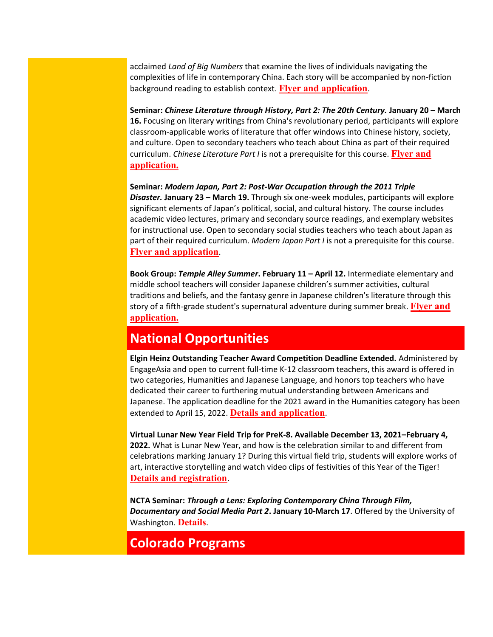acclaimed *Land of Big Numbers* that examine the lives of individuals navigating the complexities of life in contemporary China. Each story will be accompanied by non-fiction background reading to establish context. **[Flyer and application](https://www.colorado.edu/ptea/sites/default/files/attached-files/lit_hist2_courseflyer.pdf)**.

**Seminar:** *Chinese Literature through History, Part 2: The 20th Century.* **January 20 – March 16.** Focusing on literary writings from China's revolutionary period, participants will explore classroom-applicable works of literature that offer windows into Chinese history, society, and culture. Open to secondary teachers who teach about China as part of their required curriculum. *Chinese Literature Part I* is not a prerequisite for this course. **[Flyer and](https://www.colorado.edu/ptea/sites/default/files/attached-files/lit_hist2_courseflyer.pdf)  [application.](https://www.colorado.edu/ptea/sites/default/files/attached-files/lit_hist2_courseflyer.pdf)**

**Seminar:** *Modern Japan, Part 2: Post-War Occupation through the 2011 Triple Disaster.* **January 23 – March 19.** Through six one-week modules, participants will explore significant elements of Japan's political, social, and cultural history. The course includes academic video lectures, primary and secondary source readings, and exemplary websites for instructional use. Open to secondary social studies teachers who teach about Japan as part of their required curriculum. *Modern Japan Part I* is not a prerequisite for this course. **[Flyer and application](https://www.colorado.edu/ptea/content/modjapanws22flyer)**.

**Book Group:** *Temple Alley Summer***. February 11 – April 12.** Intermediate elementary and middle school teachers will consider Japanese children's summer activities, cultural traditions and beliefs, and the fantasy genre in Japanese children's literature through this story of a fifth-grade student's supernatural adventure during summer break. **[Flyer and](https://www.colorado.edu/ptea/TempleAlleySummer2022)  [application.](https://www.colorado.edu/ptea/TempleAlleySummer2022)**

## <span id="page-1-0"></span>**National Opportunities**

**Elgin Heinz Outstanding Teacher Award Competition Deadline Extended.** Administered by EngageAsia and open to current full-time K-12 classroom teachers, this award is offered in two categories, Humanities and Japanese Language, and honors top teachers who have dedicated their career to furthering mutual understanding between Americans and Japanese. The application deadline for the 2021 award in the Humanities category has been extended to April 15, 2022. **[Details and application](https://secure-web.cisco.com/16R3S1QA23c-dTXY96TvTyyTBO9JO3lsYD5EaEBungdcufdSF44J3hskYsnmWdynnPtDfmvzAYBh62gHAPoDPXp6FTDovvsA_KtJHOfKnkyfJvRwO2gtiX46CVircgygnXbJ1JmNK9h0NcKxf4VsKvCLMU5QYj2L7LuKMtA9eXaCnRePLW_rKO91fOe2r-h7HIe9joI7jhFaqG8lcHxUdrhr1hiOX2LjzXUP_fXiT5TclyJhDdHoELIgiOZJvFWYPS9Zj3z1zLWx6II3oThknuz2d8KMLNV9JHn6x273nv2m75gpoRSMzIkI0xYtGbiOSMqCrrARTFtWN_D2p3axV4aaxIL33dSjSnVSJ7njrXso3o074sfrr0EXP2mcaeNI9mchdQx_flvKJwtd7lqzwtk7TCw-ERpkGJdBBFc_wnqq0la_UUsRzyBSJjs7NiR97/https%3A%2F%2Fwww.elginheinzaward.org%2F)**.

**Virtual Lunar New Year Field Trip for PreK-8. Available December 13, 2021–February 4, 2022.** What is Lunar New Year, and how is the celebration similar to and different from celebrations marking January 1? During this virtual field trip, students will explore works of art, interactive storytelling and watch video clips of festivities of this Year of the Tiger! **[Details and registration](https://asia.si.edu/visit/live-online-learning-programs/)**.

**NCTA Seminar:** *Through a Lens: Exploring Contemporary China Through Film, Documentary and Social Media Part 2***. January 10-March 17**. Offered by the University of Washington. **[Details](https://jsis.washington.edu/earc/through-a-lens-exploring-contemporary-through-film-documentary-and-social-media-part-two/)**.

# <span id="page-1-1"></span>**Colorado Programs**